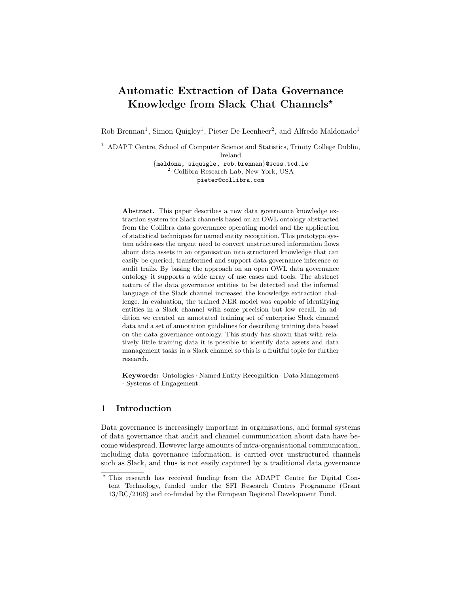# Automatic Extraction of Data Governance Knowledge from Slack Chat Channels<sup>\*</sup>

Rob Brennan<sup>1</sup>, Simon Quigley<sup>1</sup>, Pieter De Leenheer<sup>2</sup>, and Alfredo Maldonado<sup>1</sup>

<sup>1</sup> ADAPT Centre, School of Computer Science and Statistics, Trinity College Dublin,

Ireland

{maldona, siquigle, rob.brennan}@scss.tcd.ie <sup>2</sup> Collibra Research Lab, New York, USA pieter@collibra.com

Abstract. This paper describes a new data governance knowledge extraction system for Slack channels based on an OWL ontology abstracted from the Collibra data governance operating model and the application of statistical techniques for named entity recognition. This prototype system addresses the urgent need to convert unstructured information flows about data assets in an organisation into structured knowledge that can easily be queried, transformed and support data governance inference or audit trails. By basing the approach on an open OWL data governance ontology it supports a wide array of use cases and tools. The abstract nature of the data governance entities to be detected and the informal language of the Slack channel increased the knowledge extraction challenge. In evaluation, the trained NER model was capable of identifying entities in a Slack channel with some precision but low recall. In addition we created an annotated training set of enterprise Slack channel data and a set of annotation guidelines for describing training data based on the data governance ontology. This study has shown that with relatively little training data it is possible to identify data assets and data management tasks in a Slack channel so this is a fruitful topic for further research.

Keywords: Ontologies · Named Entity Recognition · Data Management · Systems of Engagement.

## 1 Introduction

Data governance is increasingly important in organisations, and formal systems of data governance that audit and channel communication about data have become widespread. However large amounts of intra-organisational communication, including data governance information, is carried over unstructured channels such as Slack, and thus is not easily captured by a traditional data governance

<sup>?</sup> This research has received funding from the ADAPT Centre for Digital Content Technology, funded under the SFI Research Centres Programme (Grant 13/RC/2106) and co-funded by the European Regional Development Fund.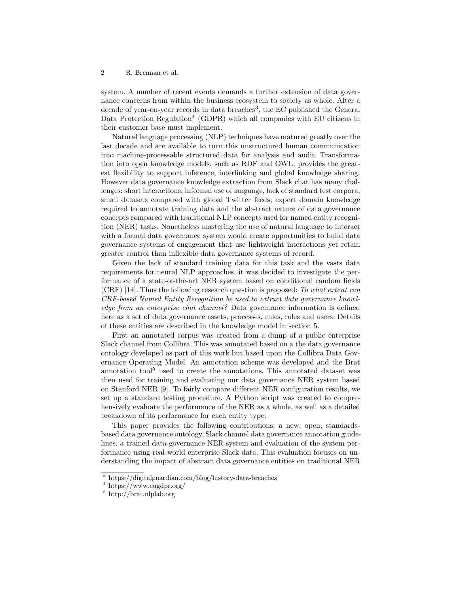system. A number of recent events demands a further extension of data governance concerns from within the business ecosystem to society as whole. After a decade of year-on-year records in data breaches<sup>3</sup>, the EC published the General Data Protection Regulation<sup>4</sup> (GDPR) which all companies with EU citizens in their customer base must implement.

Natural language processing (NLP) techniques have matured greatly over the last decade and are available to turn this unstructured human communication into machine-processable structured data for analysis and audit. Transformation into open knowledge models, such as RDF and OWL, provides the greatest flexibility to support inference, interlinking and global knowledge sharing. However data governance knowledge extraction from Slack chat has many challenges: short interactions, informal use of language, lack of standard test corpora, small datasets compared with global Twitter feeds, expert domain knowledge required to annotate training data and the abstract nature of data governance concepts compared with traditional NLP concepts used for named entity recognition (NER) tasks. Nonetheless mastering the use of natural language to interact with a formal data governance system would create opportunities to build data governance systems of engagement that use lightweight interactions yet retain greater control than inflexible data governance systems of record.

Given the lack of standard training data for this task and the vasts data requirements for neural NLP approaches, it was decided to investigate the performance of a state-of-the-art NER system based on conditional random fields  $(CRF)$  [14]. Thus the following research question is proposed: To what extent can CRF-based Named Entity Recognition be used to extract data governance knowledge from an enterprise chat channel? Data governance information is defined here as a set of data governance assets, processes, rules, roles and users. Details of these entities are described in the knowledge model in section 5.

First an annotated corpus was created from a dump of a public enterprise Slack channel from Collibra. This was annotated based on a the data governance ontology developed as part of this work but based upon the Collibra Data Governance Operating Model. An annotation scheme was developed and the Brat annotation tool<sup>5</sup> used to create the annotations. This annotated dataset was then used for training and evaluating our data governance NER system based on Stanford NER [9]. To fairly compare different NER configuration results, we set up a standard testing procedure. A Python script was created to comprehensively evaluate the performance of the NER as a whole, as well as a detailed breakdown of its performance for each entity type.

This paper provides the following contributions: a new, open, standardsbased data governance ontology, Slack channel data governance annotation guidelines, a trained data governance NER system and evaluation of the system performance using real-world enterprise Slack data. This evaluation focuses on understanding the impact of abstract data governance entities on traditional NER

<sup>3</sup> https://digitalguardian.com/blog/history-data-breaches

<sup>4</sup> https://www.eugdpr.org/

 $^5$ http://brat.nlplab.org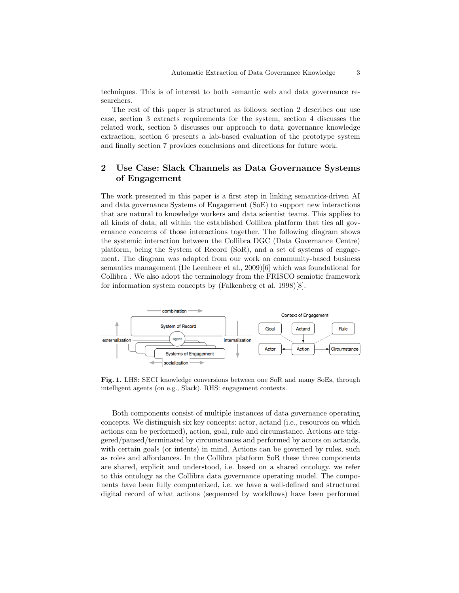techniques. This is of interest to both semantic web and data governance researchers.

The rest of this paper is structured as follows: section 2 describes our use case, section 3 extracts requirements for the system, section 4 discusses the related work, section 5 discusses our approach to data governance knowledge extraction, section 6 presents a lab-based evaluation of the prototype system and finally section 7 provides conclusions and directions for future work.

## 2 Use Case: Slack Channels as Data Governance Systems of Engagement

The work presented in this paper is a first step in linking semantics-driven AI and data governance Systems of Engagement (SoE) to support new interactions that are natural to knowledge workers and data scientist teams. This applies to all kinds of data, all within the established Collibra platform that ties all governance concerns of those interactions together. The following diagram shows the systemic interaction between the Collibra DGC (Data Governance Centre) platform, being the System of Record (SoR), and a set of systems of engagement. The diagram was adapted from our work on community-based business semantics management (De Leenheer et al., 2009)[6] which was foundational for Collibra . We also adopt the terminology from the FRISCO semiotic framework for information system concepts by (Falkenberg et al. 1998)[8].



Fig. 1. LHS: SECI knowledge conversions between one SoR and many SoEs, through intelligent agents (on e.g., Slack). RHS: engagement contexts.

Both components consist of multiple instances of data governance operating concepts. We distinguish six key concepts: actor, actand (i.e., resources on which actions can be performed), action, goal, rule and circumstance. Actions are triggered/paused/terminated by circumstances and performed by actors on actands, with certain goals (or intents) in mind. Actions can be governed by rules, such as roles and affordances. In the Collibra platform SoR these three components are shared, explicit and understood, i.e. based on a shared ontology. we refer to this ontology as the Collibra data governance operating model. The components have been fully computerized, i.e. we have a well-defined and structured digital record of what actions (sequenced by workflows) have been performed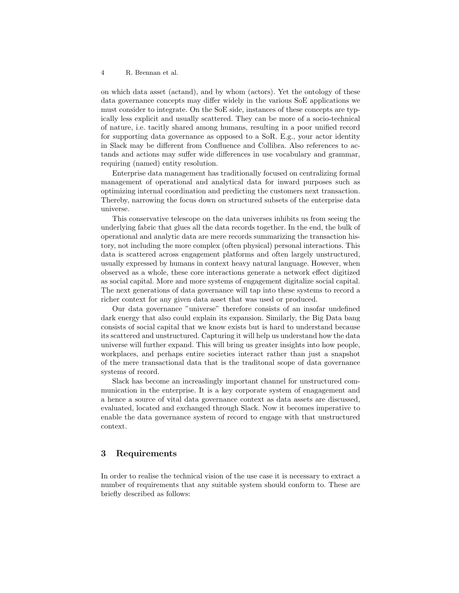on which data asset (actand), and by whom (actors). Yet the ontology of these data governance concepts may differ widely in the various SoE applications we must consider to integrate. On the SoE side, instances of these concepts are typically less explicit and usually scattered. They can be more of a socio-technical of nature, i.e. tacitly shared among humans, resulting in a poor unified record for supporting data governance as opposed to a SoR. E.g., your actor identity in Slack may be different from Confluence and Collibra. Also references to actands and actions may suffer wide differences in use vocabulary and grammar, requiring (named) entity resolution.

Enterprise data management has traditionally focused on centralizing formal management of operational and analytical data for inward purposes such as optimizing internal coordination and predicting the customers next transaction. Thereby, narrowing the focus down on structured subsets of the enterprise data universe.

This conservative telescope on the data universes inhibits us from seeing the underlying fabric that glues all the data records together. In the end, the bulk of operational and analytic data are mere records summarizing the transaction history, not including the more complex (often physical) personal interactions. This data is scattered across engagement platforms and often largely unstructured, usually expressed by humans in context heavy natural language. However, when observed as a whole, these core interactions generate a network effect digitized as social capital. More and more systems of engagement digitalize social capital. The next generations of data governance will tap into these systems to record a richer context for any given data asset that was used or produced.

Our data governance "universe" therefore consists of an insofar undefined dark energy that also could explain its expansion. Similarly, the Big Data bang consists of social capital that we know exists but is hard to understand because its scattered and unstructured. Capturing it will help us understand how the data universe will further expand. This will bring us greater insights into how people, workplaces, and perhaps entire societies interact rather than just a snapshot of the mere transactional data that is the traditonal scope of data governance systems of record.

Slack has become an increaslingly important channel for unstructured communication in the enterprise. It is a key corporate system of enagagement and a hence a source of vital data governance context as data assets are discussed, evaluated, located and exchanged through Slack. Now it becomes imperative to enable the data governance system of record to engage with that unstructured context.

## 3 Requirements

In order to realise the technical vision of the use case it is necessary to extract a number of requirements that any suitable system should conform to. These are briefly described as follows: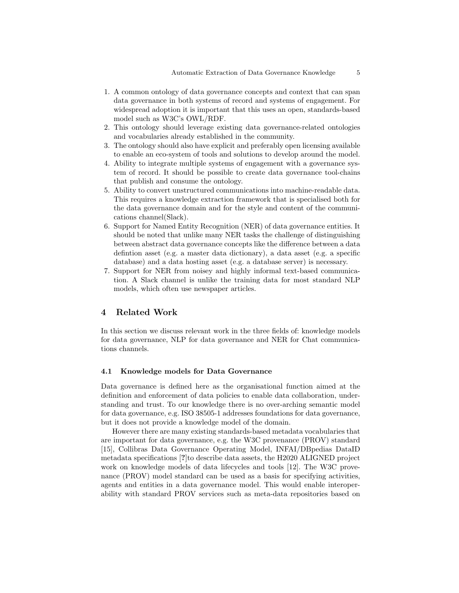- 1. A common ontology of data governance concepts and context that can span data governance in both systems of record and systems of engagement. For widespread adoption it is important that this uses an open, standards-based model such as W3C's OWL/RDF.
- 2. This ontology should leverage existing data governance-related ontologies and vocabularies already established in the community.
- 3. The ontology should also have explicit and preferably open licensing available to enable an eco-system of tools and solutions to develop around the model.
- 4. Ability to integrate multiple systems of engagement with a governance system of record. It should be possible to create data governance tool-chains that publish and consume the ontology.
- 5. Ability to convert unstructured communications into machine-readable data. This requires a knowledge extraction framework that is specialised both for the data governance domain and for the style and content of the communications channel(Slack).
- 6. Support for Named Entity Recognition (NER) of data governance entities. It should be noted that unlike many NER tasks the challenge of distinguishing between abstract data governance concepts like the difference between a data defintion asset (e.g. a master data dictionary), a data asset (e.g. a specific database) and a data hosting asset (e.g. a database server) is necessary.
- 7. Support for NER from noisey and highly informal text-based communication. A Slack channel is unlike the training data for most standard NLP models, which often use newspaper articles.

## 4 Related Work

In this section we discuss relevant work in the three fields of: knowledge models for data governance, NLP for data governance and NER for Chat communications channels.

#### 4.1 Knowledge models for Data Governance

Data governance is defined here as the organisational function aimed at the definition and enforcement of data policies to enable data collaboration, understanding and trust. To our knowledge there is no over-arching semantic model for data governance, e.g. ISO 38505-1 addresses foundations for data governance, but it does not provide a knowledge model of the domain.

However there are many existing standards-based metadata vocabularies that are important for data governance, e.g. the W3C provenance (PROV) standard [15], Collibras Data Governance Operating Model, INFAI/DBpedias DataID metadata specifications [?]to describe data assets, the H2020 ALIGNED project work on knowledge models of data lifecycles and tools [12]. The W3C provenance (PROV) model standard can be used as a basis for specifying activities, agents and entities in a data governance model. This would enable interoperability with standard PROV services such as meta-data repositories based on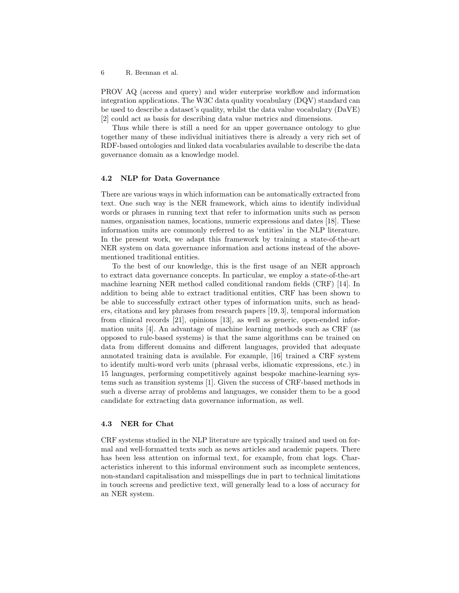PROV AQ (access and query) and wider enterprise workflow and information integration applications. The W3C data quality vocabulary (DQV) standard can be used to describe a dataset's quality, whilst the data value vocabulary (DaVE) [2] could act as basis for describing data value metrics and dimensions.

Thus while there is still a need for an upper governance ontology to glue together many of these individual initiatives there is already a very rich set of RDF-based ontologies and linked data vocabularies available to describe the data governance domain as a knowledge model.

#### 4.2 NLP for Data Governance

There are various ways in which information can be automatically extracted from text. One such way is the NER framework, which aims to identify individual words or phrases in running text that refer to information units such as person names, organisation names, locations, numeric expressions and dates [18]. These information units are commonly referred to as 'entities' in the NLP literature. In the present work, we adapt this framework by training a state-of-the-art NER system on data governance information and actions instead of the abovementioned traditional entities.

To the best of our knowledge, this is the first usage of an NER approach to extract data governance concepts. In particular, we employ a state-of-the-art machine learning NER method called conditional random fields (CRF) [14]. In addition to being able to extract traditional entities, CRF has been shown to be able to successfully extract other types of information units, such as headers, citations and key phrases from research papers [19, 3], temporal information from clinical records [21], opinions [13], as well as generic, open-ended information units [4]. An advantage of machine learning methods such as CRF (as opposed to rule-based systems) is that the same algorithms can be trained on data from different domains and different languages, provided that adequate annotated training data is available. For example, [16] trained a CRF system to identify multi-word verb units (phrasal verbs, idiomatic expressions, etc.) in 15 languages, performing competitively against bespoke machine-learning systems such as transition systems [1]. Given the success of CRF-based methods in such a diverse array of problems and languages, we consider them to be a good candidate for extracting data governance information, as well.

#### 4.3 NER for Chat

CRF systems studied in the NLP literature are typically trained and used on formal and well-formatted texts such as news articles and academic papers. There has been less attention on informal text, for example, from chat logs. Characteristics inherent to this informal environment such as incomplete sentences, non-standard capitalisation and misspellings due in part to technical limitations in touch screens and predictive text, will generally lead to a loss of accuracy for an NER system.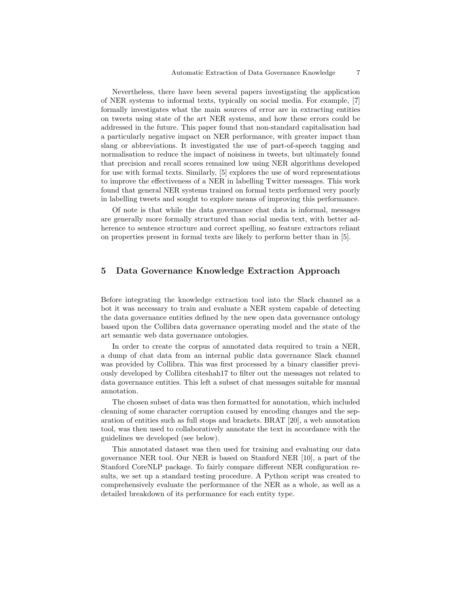Nevertheless, there have been several papers investigating the application of NER systems to informal texts, typically on social media. For example, [7] formally investigates what the main sources of error are in extracting entities on tweets using state of the art NER systems, and how these errors could be addressed in the future. This paper found that non-standard capitalisation had a particularly negative impact on NER performance, with greater impact than slang or abbreviations. It investigated the use of part-of-speech tagging and normalisation to reduce the impact of noisiness in tweets, but ultimately found that precision and recall scores remained low using NER algorithms developed for use with formal texts. Similarly, [5] explores the use of word representations to improve the effectiveness of a NER in labelling Twitter messages. This work found that general NER systems trained on formal texts performed very poorly in labelling tweets and sought to explore means of improving this performance.

Of note is that while the data governance chat data is informal, messages are generally more formally structured than social media text, with better adherence to sentence structure and correct spelling, so feature extractors reliant on properties present in formal texts are likely to perform better than in [5].

## 5 Data Governance Knowledge Extraction Approach

Before integrating the knowledge extraction tool into the Slack channel as a bot it was necessary to train and evaluate a NER system capable of detecting the data governance entities defined by the new open data governance ontology based upon the Collibra data governance operating model and the state of the art semantic web data governance ontologies.

In order to create the corpus of annotated data required to train a NER, a dump of chat data from an internal public data governance Slack channel was provided by Collibra. This was first processed by a binary classifier previously developed by Collibra citeshah17 to filter out the messages not related to data governance entities. This left a subset of chat messages suitable for manual annotation.

The chosen subset of data was then formatted for annotation, which included cleaning of some character corruption caused by encoding changes and the separation of entities such as full stops and brackets. BRAT [20], a web annotation tool, was then used to collaboratively annotate the text in accordance with the guidelines we developed (see below).

This annotated dataset was then used for training and evaluating our data governance NER tool. Our NER is based on Stanford NER [10], a part of the Stanford CoreNLP package. To fairly compare different NER configuration results, we set up a standard testing procedure. A Python script was created to comprehensively evaluate the performance of the NER as a whole, as well as a detailed breakdown of its performance for each entity type.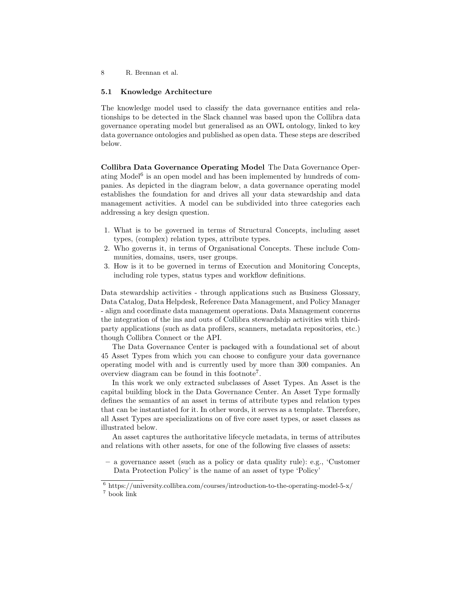#### 5.1 Knowledge Architecture

The knowledge model used to classify the data governance entities and relationships to be detected in the Slack channel was based upon the Collibra data governance operating model but generalised as an OWL ontology, linked to key data governance ontologies and published as open data. These steps are described below.

Collibra Data Governance Operating Model The Data Governance Operating Model<sup>6</sup> is an open model and has been implemented by hundreds of companies. As depicted in the diagram below, a data governance operating model establishes the foundation for and drives all your data stewardship and data management activities. A model can be subdivided into three categories each addressing a key design question.

- 1. What is to be governed in terms of Structural Concepts, including asset types, (complex) relation types, attribute types.
- 2. Who governs it, in terms of Organisational Concepts. These include Communities, domains, users, user groups.
- 3. How is it to be governed in terms of Execution and Monitoring Concepts, including role types, status types and workflow definitions.

Data stewardship activities - through applications such as Business Glossary, Data Catalog, Data Helpdesk, Reference Data Management, and Policy Manager - align and coordinate data management operations. Data Management concerns the integration of the ins and outs of Collibra stewardship activities with thirdparty applications (such as data profilers, scanners, metadata repositories, etc.) though Collibra Connect or the API.

The Data Governance Center is packaged with a foundational set of about 45 Asset Types from which you can choose to configure your data governance operating model with and is currently used by more than 300 companies. An overview diagram can be found in this footnote<sup>7</sup> .

In this work we only extracted subclasses of Asset Types. An Asset is the capital building block in the Data Governance Center. An Asset Type formally defines the semantics of an asset in terms of attribute types and relation types that can be instantiated for it. In other words, it serves as a template. Therefore, all Asset Types are specializations on of five core asset types, or asset classes as illustrated below.

An asset captures the authoritative lifecycle metadata, in terms of attributes and relations with other assets, for one of the following five classes of assets:

– a governance asset (such as a policy or data quality rule): e.g., 'Customer Data Protection Policy' is the name of an asset of type 'Policy'

 $6$  https://university.collibra.com/courses/introduction-to-the-operating-model-5-x/ <sup>7</sup> book link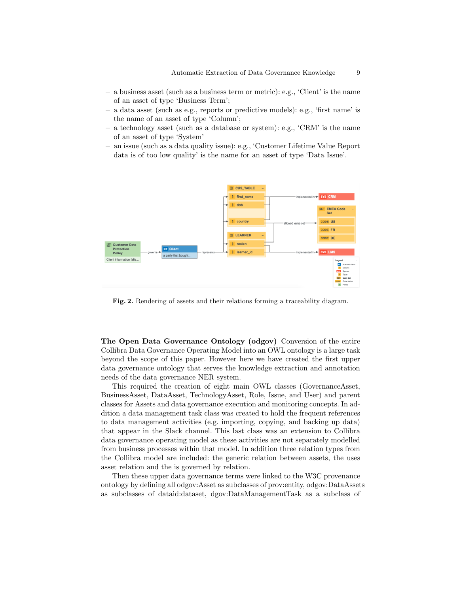- a business asset (such as a business term or metric): e.g., 'Client' is the name of an asset of type 'Business Term';
- a data asset (such as e.g., reports or predictive models): e.g., 'first name' is the name of an asset of type 'Column';
- a technology asset (such as a database or system): e.g., 'CRM' is the name of an asset of type 'System'
- an issue (such as a data quality issue): e.g., 'Customer Lifetime Value Report data is of too low quality' is the name for an asset of type 'Data Issue'.



Fig. 2. Rendering of assets and their relations forming a traceability diagram.

The Open Data Governance Ontology (odgov) Conversion of the entire Collibra Data Governance Operating Model into an OWL ontology is a large task beyond the scope of this paper. However here we have created the first upper data governance ontology that serves the knowledge extraction and annotation needs of the data governance NER system.

This required the creation of eight main OWL classes (GovernanceAsset, BusinessAsset, DataAsset, TechnologyAsset, Role, Issue, and User) and parent classes for Assets and data governance execution and monitoring concepts. In addition a data management task class was created to hold the frequent references to data management activities (e.g. importing, copying, and backing up data) that appear in the Slack channel. This last class was an extension to Collibra data governance operating model as these activities are not separately modelled from business processes within that model. In addition three relation types from the Collibra model are included: the generic relation between assets, the uses asset relation and the is governed by relation.

Then these upper data governance terms were linked to the W3C provenance ontology by defining all odgov:Asset as subclasses of prov:entity, odgov:DataAssets as subclasses of dataid:dataset, dgov:DataManagementTask as a subclass of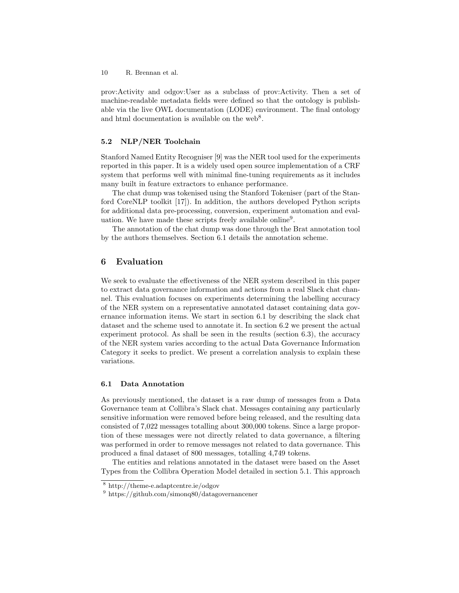prov:Activity and odgov:User as a subclass of prov:Activity. Then a set of machine-readable metadata fields were defined so that the ontology is publishable via the live OWL documentation (LODE) environment. The final ontology and html documentation is available on the web<sup>8</sup>.

#### 5.2 NLP/NER Toolchain

Stanford Named Entity Recogniser [9] was the NER tool used for the experiments reported in this paper. It is a widely used open source implementation of a CRF system that performs well with minimal fine-tuning requirements as it includes many built in feature extractors to enhance performance.

The chat dump was tokenised using the Stanford Tokeniser (part of the Stanford CoreNLP toolkit [17]). In addition, the authors developed Python scripts for additional data pre-processing, conversion, experiment automation and evaluation. We have made these scripts freely available online<sup>9</sup>.

The annotation of the chat dump was done through the Brat annotation tool by the authors themselves. Section 6.1 details the annotation scheme.

## 6 Evaluation

We seek to evaluate the effectiveness of the NER system described in this paper to extract data governance information and actions from a real Slack chat channel. This evaluation focuses on experiments determining the labelling accuracy of the NER system on a representative annotated dataset containing data governance information items. We start in section 6.1 by describing the slack chat dataset and the scheme used to annotate it. In section 6.2 we present the actual experiment protocol. As shall be seen in the results (section 6.3), the accuracy of the NER system varies according to the actual Data Governance Information Category it seeks to predict. We present a correlation analysis to explain these variations.

#### 6.1 Data Annotation

As previously mentioned, the dataset is a raw dump of messages from a Data Governance team at Collibra's Slack chat. Messages containing any particularly sensitive information were removed before being released, and the resulting data consisted of 7,022 messages totalling about 300,000 tokens. Since a large proportion of these messages were not directly related to data governance, a filtering was performed in order to remove messages not related to data governance. This produced a final dataset of 800 messages, totalling 4,749 tokens.

The entities and relations annotated in the dataset were based on the Asset Types from the Collibra Operation Model detailed in section 5.1. This approach

<sup>8</sup> http://theme-e.adaptcentre.ie/odgov

<sup>9</sup> https://github.com/simonq80/datagovernancener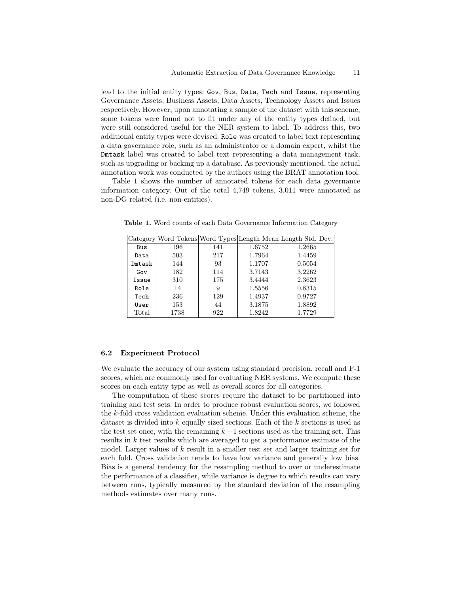lead to the initial entity types: Gov, Bus, Data, Tech and Issue, representing Governance Assets, Business Assets, Data Assets, Technology Assets and Issues respectively. However, upon annotating a sample of the dataset with this scheme, some tokens were found not to fit under any of the entity types defined, but were still considered useful for the NER system to label. To address this, two additional entity types were devised: Role was created to label text representing a data governance role, such as an administrator or a domain expert, whilst the Dmtask label was created to label text representing a data management task, such as upgrading or backing up a database. As previously mentioned, the actual annotation work was conducted by the authors using the BRAT annotation tool.

Table 1 shows the number of annotated tokens for each data governance information category. Out of the total 4,749 tokens, 3,011 were annotated as non-DG related (i.e. non-entities).

|        |      |     |        | Category Word Tokens Word Types Length Mean Length Std. Dev. |
|--------|------|-----|--------|--------------------------------------------------------------|
| Bus    | 196  | 141 | 1.6752 | 1.2665                                                       |
| Data   | 503  | 217 | 1.7964 | 1.4459                                                       |
| Dmtask | 144  | 93  | 1.1707 | 0.5054                                                       |
| Gov    | 182  | 114 | 3.7143 | 3.2262                                                       |
| Issue  | 310  | 175 | 3.4444 | 2.3623                                                       |
| Role   | 14   | 9   | 1.5556 | 0.8315                                                       |
| Tech   | 236  | 129 | 1.4937 | 0.9727                                                       |
| User   | 153  | 44  | 3.1875 | 1.8892                                                       |
| Total  | 1738 | 922 | 1.8242 | 1.7729                                                       |

Table 1. Word counts of each Data Governance Information Category

#### 6.2 Experiment Protocol

We evaluate the accuracy of our system using standard precision, recall and F-1 scores, which are commonly used for evaluating NER systems. We compute these scores on each entity type as well as overall scores for all categories.

The computation of these scores require the dataset to be partitioned into training and test sets. In order to produce robust evaluation scores, we followed the k-fold cross validation evaluation scheme. Under this evaluation scheme, the dataset is divided into k equally sized sections. Each of the k sections is used as the test set once, with the remaining  $k-1$  sections used as the training set. This results in k test results which are averaged to get a performance estimate of the model. Larger values of  $k$  result in a smaller test set and larger training set for each fold. Cross validation tends to have low variance and generally low bias. Bias is a general tendency for the resampling method to over or underestimate the performance of a classifier, while variance is degree to which results can vary between runs, typically measured by the standard deviation of the resampling methods estimates over many runs.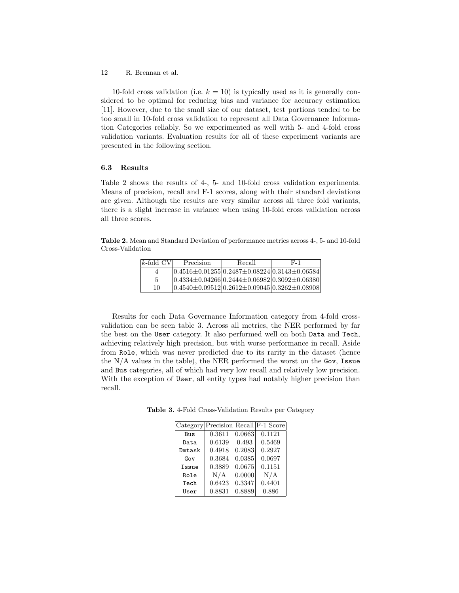10-fold cross validation (i.e.  $k = 10$ ) is typically used as it is generally considered to be optimal for reducing bias and variance for accuracy estimation [11]. However, due to the small size of our dataset, test portions tended to be too small in 10-fold cross validation to represent all Data Governance Information Categories reliably. So we experimented as well with 5- and 4-fold cross validation variants. Evaluation results for all of these experiment variants are presented in the following section.

#### 6.3 Results

Table 2 shows the results of 4-, 5- and 10-fold cross validation experiments. Means of precision, recall and F-1 scores, along with their standard deviations are given. Although the results are very similar across all three fold variants, there is a slight increase in variance when using 10-fold cross validation across all three scores.

Table 2. Mean and Standard Deviation of performance metrics across 4-, 5- and 10-fold Cross-Validation

| $k$ -fold CV | Precision                                                    | Recall | F-1 |
|--------------|--------------------------------------------------------------|--------|-----|
| 4            | $ 0.4516{\pm}0.01255 0.2487{\pm}0.08224 0.3143{\pm}0.06584 $ |        |     |
| 5            | $ 0.4334\pm0.04266 0.2444\pm0.06982 0.3092\pm0.06380 $       |        |     |
| 10           | $ 0.4540 \pm 0.09512 0.2612 \pm 0.09045 0.3262 \pm 0.08908 $ |        |     |

Results for each Data Governance Information category from 4-fold crossvalidation can be seen table 3. Across all metrics, the NER performed by far the best on the User category. It also performed well on both Data and Tech, achieving relatively high precision, but with worse performance in recall. Aside from Role, which was never predicted due to its rarity in the dataset (hence the  $N/A$  values in the table), the NER performed the worst on the Gov, Issue and Bus categories, all of which had very low recall and relatively low precision. With the exception of User, all entity types had notably higher precision than recall.

Table 3. 4-Fold Cross-Validation Results per Category

|        |        |                      | Category Precision Recall F-1 Score |
|--------|--------|----------------------|-------------------------------------|
| Bus    | 0.3611 | 0.0663               | 0.1121                              |
| Data   | 0.6139 | 0.493                | 0.5469                              |
| Dmtask | 0.4918 | $ 0.2083\rangle$     | 0.2927                              |
| Gov    | 0.3684 | 0.0385               | 0.0697                              |
| Issue  | 0.3889 | $\vert 0.0675 \vert$ | 0.1151                              |
| Role   | N/A    | 0.0000               | N/A                                 |
| Tech   | 0.6423 | 0.3347               | 0.4401                              |
| User   | 0.8831 | 0.8889               | 0.886                               |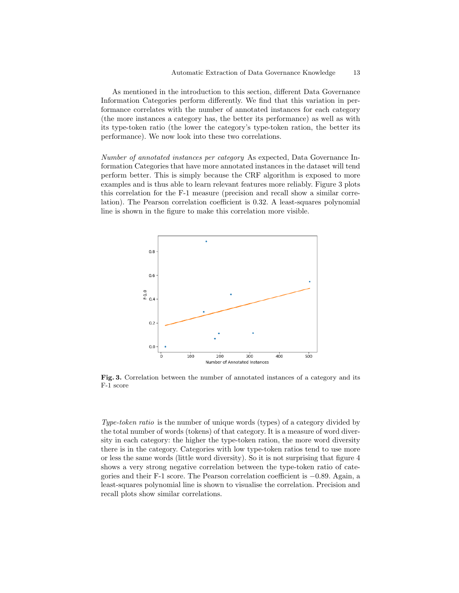As mentioned in the introduction to this section, different Data Governance Information Categories perform differently. We find that this variation in performance correlates with the number of annotated instances for each category (the more instances a category has, the better its performance) as well as with its type-token ratio (the lower the category's type-token ration, the better its performance). We now look into these two correlations.

Number of annotated instances per category As expected, Data Governance Information Categories that have more annotated instances in the dataset will tend perform better. This is simply because the CRF algorithm is exposed to more examples and is thus able to learn relevant features more reliably. Figure 3 plots this correlation for the F-1 measure (precision and recall show a similar correlation). The Pearson correlation coefficient is 0.32. A least-squares polynomial line is shown in the figure to make this correlation more visible.



Fig. 3. Correlation between the number of annotated instances of a category and its F-1 score

Type-token ratio is the number of unique words (types) of a category divided by the total number of words (tokens) of that category. It is a measure of word diversity in each category: the higher the type-token ration, the more word diversity there is in the category. Categories with low type-token ratios tend to use more or less the same words (little word diversity). So it is not surprising that figure 4 shows a very strong negative correlation between the type-token ratio of categories and their F-1 score. The Pearson correlation coefficient is −0.89. Again, a least-squares polynomial line is shown to visualise the correlation. Precision and recall plots show similar correlations.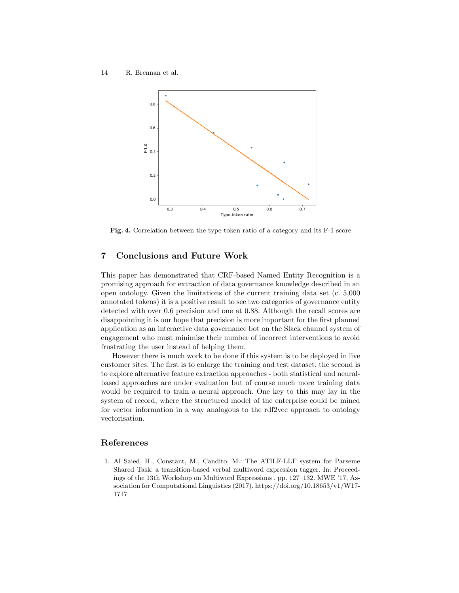

Fig. 4. Correlation between the type-token ratio of a category and its F-1 score

## 7 Conclusions and Future Work

This paper has demonstrated that CRF-based Named Entity Recognition is a promising approach for extraction of data governance knowledge described in an open ontology. Given the limitations of the current training data set (c. 5,000 annotated tokens) it is a positive result to see two categories of governance entity detected with over 0.6 precision and one at 0.88. Although the recall scores are disappointing it is our hope that precision is more important for the first planned application as an interactive data governance bot on the Slack channel system of engagement who must minimise their number of incorrect interventions to avoid frustrating the user instead of helping them.

However there is much work to be done if this system is to be deployed in live customer sites. The first is to enlarge the training and test dataset, the second is to explore alternative feature extraction approaches - both statistical and neuralbased approaches are under evaluation but of course much more training data would be required to train a neural approach. One key to this may lay in the system of record, where the structured model of the enterprise could be mined for vector information in a way analogous to the rdf2vec approach to ontology vectorisation.

## References

1. Al Saied, H., Constant, M., Candito, M.: The ATILF-LLF system for Parseme Shared Task: a transition-based verbal multiword expression tagger. In: Proceedings of the 13th Workshop on Multiword Expressions . pp. 127–132. MWE '17, Association for Computational Linguistics (2017). https://doi.org/10.18653/v1/W17- 1717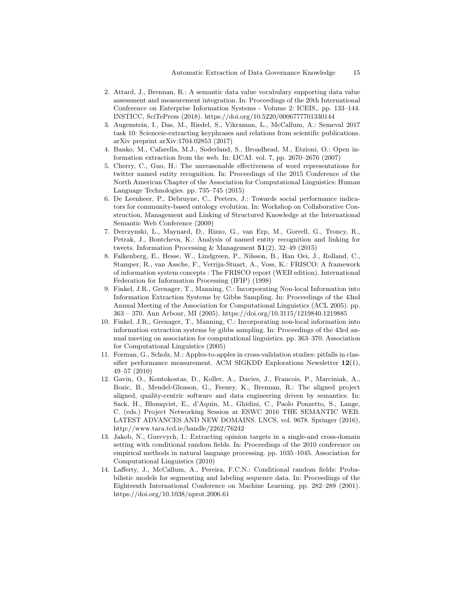- 2. Attard, J., Brennan, R.: A semantic data value vocabulary supporting data value assessment and measurement integration. In: Proceedings of the 20th International Conference on Enterprise Information Systems - Volume 2: ICEIS,. pp. 133–144. INSTICC, SciTePress (2018). https://doi.org/10.5220/0006777701330144
- 3. Augenstein, I., Das, M., Riedel, S., Vikraman, L., McCallum, A.: Semeval 2017 task 10: Scienceie-extracting keyphrases and relations from scientific publications. arXiv preprint arXiv:1704.02853 (2017)
- 4. Banko, M., Cafarella, M.J., Soderland, S., Broadhead, M., Etzioni, O.: Open information extraction from the web. In: IJCAI. vol. 7, pp. 2670–2676 (2007)
- 5. Cherry, C., Guo, H.: The unreasonable effectiveness of word representations for twitter named entity recognition. In: Proceedings of the 2015 Conference of the North American Chapter of the Association for Computational Linguistics: Human Language Technologies. pp. 735–745 (2015)
- 6. De Leenheer, P., Debruyne, C., Peeters, J.: Towards social performance indicators for community-based ontology evolution. In: Workshop on Collaborative Construction, Management and Linking of Structured Knowledge at the International Semantic Web Conference (2009)
- 7. Derczynski, L., Maynard, D., Rizzo, G., van Erp, M., Gorrell, G., Troncy, R., Petrak, J., Bontcheva, K.: Analysis of named entity recognition and linking for tweets. Information Processing & Management  $51(2)$ , 32-49 (2015)
- 8. Falkenberg, E., Hesse, W., Lindgreen, P., Nilsson, B., Han Oei, J., Rolland, C., Stamper, R., van Assche, F., Verrijn-Stuart, A., Voss, K.: FRISCO: A framework of information system concepts : The FRISCO report (WEB edition). International Federation for Information Processing (IFIP) (1998)
- 9. Finkel, J.R., Grenager, T., Manning, C.: Incorporating Non-local Information into Information Extraction Systems by Gibbs Sampling. In: Proceedings of the 43nd Annual Meeting of the Association for Computational Linguistics (ACL 2005). pp. 363 – 370. Ann Arbour, MI (2005). https://doi.org/10.3115/1219840.1219885
- 10. Finkel, J.R., Grenager, T., Manning, C.: Incorporating non-local information into information extraction systems by gibbs sampling. In: Proceedings of the 43rd annual meeting on association for computational linguistics. pp. 363–370. Association for Computational Linguistics (2005)
- 11. Forman, G., Scholz, M.: Apples-to-apples in cross-validation studies: pitfalls in classifier performance measurement. ACM SIGKDD Explorations Newsletter  $12(1)$ , 49–57 (2010)
- 12. Gavin, O., Kontokostas, D., Koller, A., Davies, J., Francois, P., Marciniak, A., Bozic, B., Mendel-Gleason, G., Feeney, K., Brennan, R.: The aligned project aligned, quality-centric software and data engineering driven by semantics. In: Sack, H., Blomqvist, E., d'Aquin, M., Ghidini, C., Paolo Ponzetto, S., Lange, C. (eds.) Project Networking Session at ESWC 2016 THE SEMANTIC WEB. LATEST ADVANCES AND NEW DOMAINS. LNCS, vol. 9678. Springer (2016), http://www.tara.tcd.ie/handle/2262/76242
- 13. Jakob, N., Gurevych, I.: Extracting opinion targets in a single-and cross-domain setting with conditional random fields. In: Proceedings of the 2010 conference on empirical methods in natural language processing. pp. 1035–1045. Association for Computational Linguistics (2010)
- 14. Lafferty, J., McCallum, A., Pereira, F.C.N.: Conditional random fields: Probabilistic models for segmenting and labeling sequence data. In: Proceedings of the Eighteenth International Conference on Machine Learning. pp. 282–289 (2001). https://doi.org/10.1038/nprot.2006.61